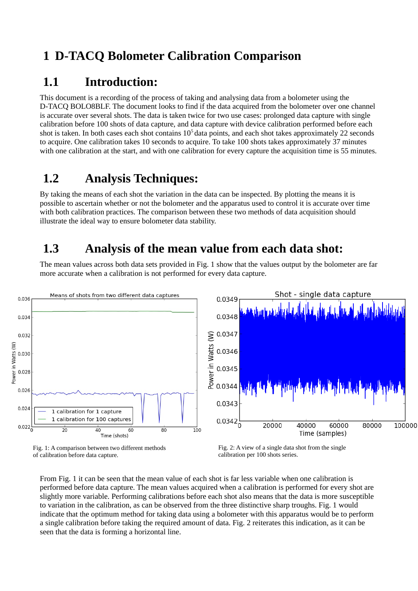## **1 D-TACQ Bolometer Calibration Comparison**

### **1.1 Introduction:**

This document is a recording of the process of taking and analysing data from a bolometer using the D-TACQ BOLO8BLF. The document looks to find if the data acquired from the bolometer over one channel is accurate over several shots. The data is taken twice for two use cases: prolonged data capture with single calibration before 100 shots of data capture, and data capture with device calibration performed before each shot is taken. In both cases each shot contains  $10<sup>5</sup>$  data points, and each shot takes approximately 22 seconds to acquire. One calibration takes 10 seconds to acquire. To take 100 shots takes approximately 37 minutes with one calibration at the start, and with one calibration for every capture the acquisition time is 55 minutes.

### **1.2 Analysis Techniques:**

By taking the means of each shot the variation in the data can be inspected. By plotting the means it is possible to ascertain whether or not the bolometer and the apparatus used to control it is accurate over time with both calibration practices. The comparison between these two methods of data acquisition should illustrate the ideal way to ensure bolometer data stability.

### **1.3 Analysis of the mean value from each data shot:**

The mean values across both data sets provided in Fig. 1 show that the values output by the bolometer are far more accurate when a calibration is not performed for every data capture.



Fig. 1: A comparison between two different methods of calibration before data capture.

From Fig. 1 it can be seen that the mean value of each shot is far less variable when one calibration is performed before data capture. The mean values acquired when a calibration is performed for every shot are slightly more variable. Performing calibrations before each shot also means that the data is more susceptible to variation in the calibration, as can be observed from the three distinctive sharp troughs. Fig. 1 would indicate that the optimum method for taking data using a bolometer with this apparatus would be to perform a single calibration before taking the required amount of data. Fig. 2 reiterates this indication, as it can be seen that the data is forming a horizontal line.

Fig. 2: A view of a single data shot from the single calibration per 100 shots series.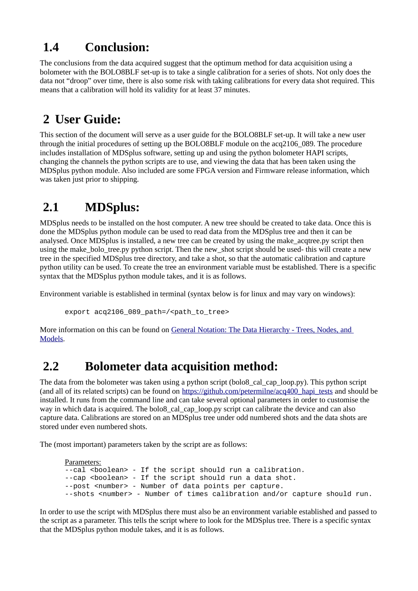# **1.4 Conclusion:**

The conclusions from the data acquired suggest that the optimum method for data acquisition using a bolometer with the BOLO8BLF set-up is to take a single calibration for a series of shots. Not only does the data not "droop" over time, there is also some risk with taking calibrations for every data shot required. This means that a calibration will hold its validity for at least 37 minutes.

# **2 User Guide:**

This section of the document will serve as a user guide for the BOLO8BLF set-up. It will take a new user through the initial procedures of setting up the BOLO8BLF module on the acq2106\_089. The procedure includes installation of MDSplus software, setting up and using the python bolometer HAPI scripts, changing the channels the python scripts are to use, and viewing the data that has been taken using the MDSplus python module. Also included are some FPGA version and Firmware release information, which was taken just prior to shipping.

# **2.1 MDSplus:**

MDSplus needs to be installed on the host computer. A new tree should be created to take data. Once this is done the MDSplus python module can be used to read data from the MDSplus tree and then it can be analysed. Once MDSplus is installed, a new tree can be created by using the make\_acqtree.py script then using the make\_bolo\_tree.py python script. Then the new\_shot script should be used- this will create a new tree in the specified MDSplus tree directory, and take a shot, so that the automatic calibration and capture python utility can be used. To create the tree an environment variable must be established. There is a specific syntax that the MDSplus python module takes, and it is as follows.

Environment variable is established in terminal (syntax below is for linux and may vary on windows):

export acq2106\_089\_path=/<path\_to\_tree>

More information on this can be found on [General Notation: The Data Hierarchy - Trees, Nodes, and](http://www.mdsplus.org/index.php?title=Documentation:Tutorial:CreateTrees%20&open=38101832318169843162415089&page=Documentation%2FThe+MDSplus+tutorial%2F+Creating+and+populating+MDSplus+trees)  [Models.](http://www.mdsplus.org/index.php?title=Documentation:Tutorial:CreateTrees%20&open=38101832318169843162415089&page=Documentation%2FThe+MDSplus+tutorial%2F+Creating+and+populating+MDSplus+trees)

# **2.2 Bolometer data acquisition method:**

The data from the bolometer was taken using a python script (bolo8\_cal\_cap\_loop.py). This python script (and all of its related scripts) can be found on [https://github.com/petermilne/acq400\\_hapi\\_tests](https://github.com/petermilne/acq400_hapi_tests) and should be installed. It runs from the command line and can take several optional parameters in order to customise the way in which data is acquired. The bolo8\_cal\_cap\_loop.py script can calibrate the device and can also capture data. Calibrations are stored on an MDSplus tree under odd numbered shots and the data shots are stored under even numbered shots.

The (most important) parameters taken by the script are as follows:

```
Parameters:
--cal <boolean> - If the script should run a calibration.
--cap <boolean> - If the script should run a data shot.
--post <number> - Number of data points per capture.
--shots <number> - Number of times calibration and/or capture should run.
```
In order to use the script with MDSplus there must also be an environment variable established and passed to the script as a parameter. This tells the script where to look for the MDSplus tree. There is a specific syntax that the MDSplus python module takes, and it is as follows.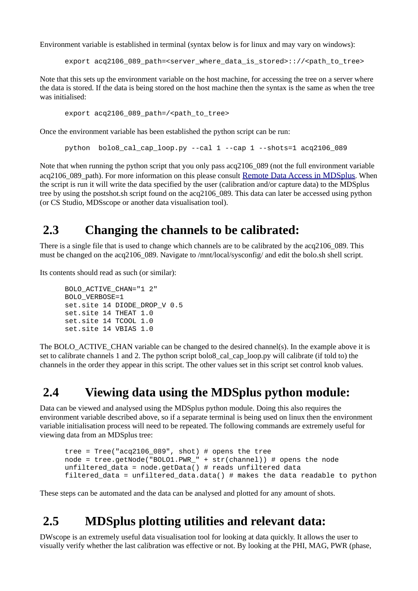Environment variable is established in terminal (syntax below is for linux and may vary on windows):

export acq2106\_089\_path=<server\_where\_data\_is\_stored>:://<path\_to\_tree>

Note that this sets up the environment variable on the host machine, for accessing the tree on a server where the data is stored. If the data is being stored on the host machine then the syntax is the same as when the tree was initialised:

```
export acq2106_089_path=/<path_to_tree>
```
Once the environment variable has been established the python script can be run:

python bolo8\_cal\_cap\_loop.py --cal  $1 -$ -cap  $1 -$ -shots=1 acq2106\_089

Note that when running the python script that you only pass acq2106 089 (not the full environment variable acq2106\_089\_path). For more information on this please consult [Remote Data Access in MDSplus](http://www.mdsplus.org/index.php?title=Documentation:Tutorial:RemoteAccess&open=41505174028409634815&page=Documentation%2FThe+MDSplus+tutorial%2FRemote+data+access+in+MDSplus). When the script is run it will write the data specified by the user (calibration and/or capture data) to the MDSplus tree by using the postshot.sh script found on the acq2106 089. This data can later be accessed using python (or CS Studio, MDSscope or another data visualisation tool).

#### **2.3 Changing the channels to be calibrated:**

There is a single file that is used to change which channels are to be calibrated by the acq2106\_089. This must be changed on the acq2106\_089. Navigate to /mnt/local/sysconfig/ and edit the bolo.sh shell script.

Its contents should read as such (or similar):

```
BOLO_ACTIVE_CHAN="1 2"
BOLO_VERBOSE=1
set.site 14 DIODE DROP V 0.5
set.site 14 THEAT 1.0
set.site 14 TCOOL 1.0
set.site 14 VBIAS 1.0
```
The BOLO\_ACTIVE\_CHAN variable can be changed to the desired channel(s). In the example above it is set to calibrate channels 1 and 2. The python script bolo8\_cal\_cap\_loop.py will calibrate (if told to) the channels in the order they appear in this script. The other values set in this script set control knob values.

#### **2.4 Viewing data using the MDSplus python module:**

Data can be viewed and analysed using the MDSplus python module. Doing this also requires the environment variable described above, so if a separate terminal is being used on linux then the environment variable initialisation process will need to be repeated. The following commands are extremely useful for viewing data from an MDSplus tree:

```
tree = Tree("acq2106_089", shot) # opens the tree
node = tree, getNode("BOLO1.PWR" + str(charnel)) # opens the nodeunfiltered_data = node.getData() # reads unfiltered data
filtered_data = unfiltered_data.data() # makes the data readable to python
```
These steps can be automated and the data can be analysed and plotted for any amount of shots.

### **2.5 MDSplus plotting utilities and relevant data:**

DWscope is an extremely useful data visualisation tool for looking at data quickly. It allows the user to visually verify whether the last calibration was effective or not. By looking at the PHI, MAG, PWR (phase,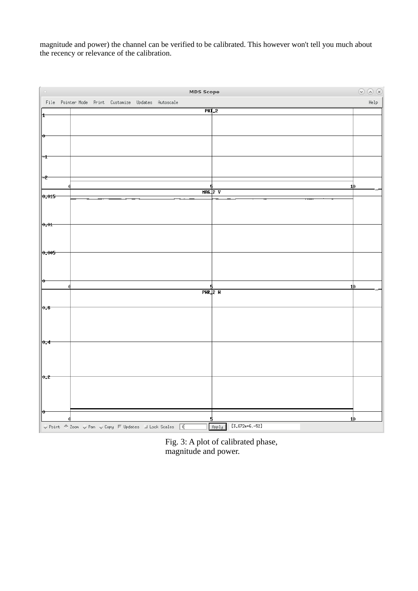magnitude and power) the channel can be verified to be calibrated. This however won't tell you much about the recency or relevance of the calibration.

| l o                                                                                                                   |  |  | MDS Scope                 |                           | $\odot$ $\odot$ $\odot$ |
|-----------------------------------------------------------------------------------------------------------------------|--|--|---------------------------|---------------------------|-------------------------|
| File Pointer Mode Print Customize Updates Autoscale                                                                   |  |  |                           |                           | Help                    |
| ±                                                                                                                     |  |  | $PHT_2$                   |                           |                         |
|                                                                                                                       |  |  |                           |                           |                         |
| $ 0\rangle$                                                                                                           |  |  |                           |                           |                         |
|                                                                                                                       |  |  |                           |                           |                         |
| ∣÷t                                                                                                                   |  |  |                           |                           |                         |
|                                                                                                                       |  |  |                           |                           |                         |
|                                                                                                                       |  |  |                           |                           |                         |
| ⊨ <del>2</del>                                                                                                        |  |  | 5                         | <u>1þ</u>                 |                         |
| 0,015                                                                                                                 |  |  | $MBC2$ v                  |                           |                         |
|                                                                                                                       |  |  |                           |                           |                         |
|                                                                                                                       |  |  |                           |                           |                         |
| $\vert_{0.01}$                                                                                                        |  |  |                           |                           |                         |
|                                                                                                                       |  |  |                           |                           |                         |
|                                                                                                                       |  |  |                           |                           |                         |
| 0,005                                                                                                                 |  |  |                           |                           |                         |
|                                                                                                                       |  |  |                           |                           |                         |
|                                                                                                                       |  |  |                           |                           |                         |
| ⊮⊢                                                                                                                    |  |  |                           |                           |                         |
|                                                                                                                       |  |  | 5<br>$PHR$ <sub>2</sub> H | 1þ                        |                         |
|                                                                                                                       |  |  |                           |                           |                         |
| $\vert \theta, \theta \vert$                                                                                          |  |  |                           |                           |                         |
|                                                                                                                       |  |  |                           |                           |                         |
|                                                                                                                       |  |  |                           |                           |                         |
| 0.4                                                                                                                   |  |  |                           |                           |                         |
|                                                                                                                       |  |  |                           |                           |                         |
|                                                                                                                       |  |  |                           |                           |                         |
|                                                                                                                       |  |  |                           |                           |                         |
| 0.2                                                                                                                   |  |  |                           |                           |                         |
|                                                                                                                       |  |  |                           |                           |                         |
|                                                                                                                       |  |  |                           |                           |                         |
| $\vert \theta \vert$                                                                                                  |  |  |                           |                           |                         |
|                                                                                                                       |  |  |                           | 1þ                        |                         |
| $\sqrt{2}$ Point $\sqrt[4]{2}$ com $\sqrt[4]{2}$ Pan $\sqrt[4]{2}$ Copy $\Box$ Updates $\Box$ Lock Scales $\boxed{0}$ |  |  |                           | $[3,872e+6,-52]$<br>Apply |                         |

Fig. 3: A plot of calibrated phase, magnitude and power.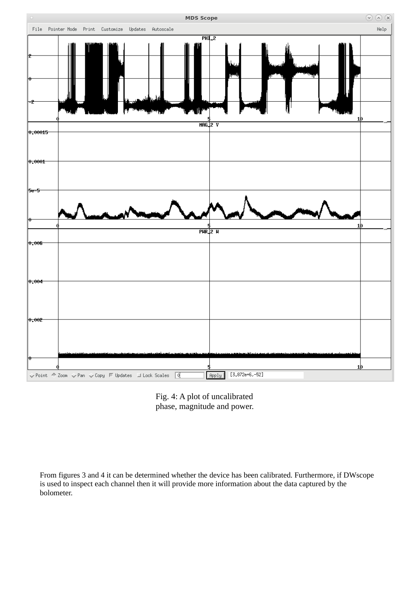



From figures 3 and 4 it can be determined whether the device has been calibrated. Furthermore, if DWscope is used to inspect each channel then it will provide more information about the data captured by the bolometer.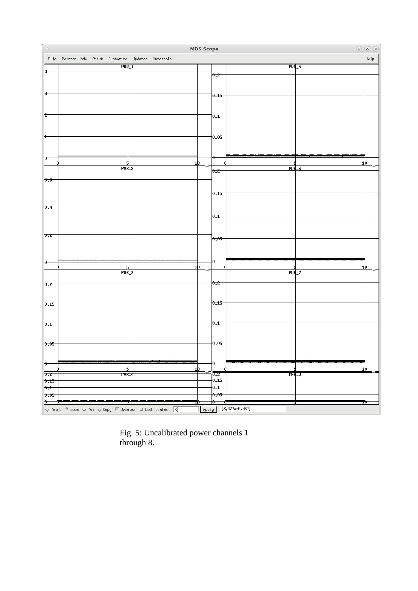|                                   |                                                                                                                                                                                                                                                                                                                                                                              |                    |  | MDS Scope      |                  |                      |         | $\odot$ $\odot$ $\odot$ |
|-----------------------------------|------------------------------------------------------------------------------------------------------------------------------------------------------------------------------------------------------------------------------------------------------------------------------------------------------------------------------------------------------------------------------|--------------------|--|----------------|------------------|----------------------|---------|-------------------------|
|                                   | File Pointer-Mode Print Customize Updates Autoscale                                                                                                                                                                                                                                                                                                                          |                    |  |                |                  |                      |         | Help                    |
|                                   |                                                                                                                                                                                                                                                                                                                                                                              | $PHR_1$            |  |                |                  | $PHR_5$              |         |                         |
| н                                 |                                                                                                                                                                                                                                                                                                                                                                              |                    |  |                | 0.2              |                      |         |                         |
|                                   |                                                                                                                                                                                                                                                                                                                                                                              |                    |  |                |                  |                      |         |                         |
| Ħ                                 |                                                                                                                                                                                                                                                                                                                                                                              |                    |  |                |                  |                      |         |                         |
|                                   |                                                                                                                                                                                                                                                                                                                                                                              |                    |  |                | 0.15             |                      |         |                         |
|                                   |                                                                                                                                                                                                                                                                                                                                                                              |                    |  |                |                  |                      |         |                         |
| 12                                |                                                                                                                                                                                                                                                                                                                                                                              |                    |  |                | 0.1              |                      |         |                         |
|                                   |                                                                                                                                                                                                                                                                                                                                                                              |                    |  |                |                  |                      |         |                         |
|                                   |                                                                                                                                                                                                                                                                                                                                                                              |                    |  |                |                  |                      |         |                         |
| ±                                 |                                                                                                                                                                                                                                                                                                                                                                              |                    |  |                | 0.05             |                      |         |                         |
|                                   |                                                                                                                                                                                                                                                                                                                                                                              |                    |  |                |                  |                      |         |                         |
|                                   |                                                                                                                                                                                                                                                                                                                                                                              |                    |  |                |                  |                      |         |                         |
| Ю                                 |                                                                                                                                                                                                                                                                                                                                                                              |                    |  | 1þ             | v                |                      |         | 1þ                      |
|                                   |                                                                                                                                                                                                                                                                                                                                                                              | $PWR$ <sub>2</sub> |  |                | 0.2              | $PHR_6$              |         |                         |
| 0.6                               |                                                                                                                                                                                                                                                                                                                                                                              |                    |  |                |                  |                      |         |                         |
|                                   |                                                                                                                                                                                                                                                                                                                                                                              |                    |  |                |                  |                      |         |                         |
|                                   |                                                                                                                                                                                                                                                                                                                                                                              |                    |  |                | 0,15             |                      |         |                         |
|                                   |                                                                                                                                                                                                                                                                                                                                                                              |                    |  |                |                  |                      |         |                         |
| 0,4                               |                                                                                                                                                                                                                                                                                                                                                                              |                    |  |                |                  |                      |         |                         |
|                                   |                                                                                                                                                                                                                                                                                                                                                                              |                    |  |                | 0.1              |                      |         |                         |
|                                   |                                                                                                                                                                                                                                                                                                                                                                              |                    |  |                |                  |                      |         |                         |
| $\theta$ <sub>2</sub>             |                                                                                                                                                                                                                                                                                                                                                                              |                    |  |                |                  |                      |         |                         |
|                                   |                                                                                                                                                                                                                                                                                                                                                                              |                    |  |                | 0.05             |                      |         |                         |
|                                   |                                                                                                                                                                                                                                                                                                                                                                              |                    |  |                |                  |                      |         |                         |
|                                   |                                                                                                                                                                                                                                                                                                                                                                              |                    |  |                |                  |                      |         |                         |
| ю                                 |                                                                                                                                                                                                                                                                                                                                                                              |                    |  | 1 <sub>b</sub> |                  |                      |         | 1þ                      |
|                                   |                                                                                                                                                                                                                                                                                                                                                                              | $PWR = 3$          |  |                |                  | PHR_7                |         |                         |
|                                   |                                                                                                                                                                                                                                                                                                                                                                              |                    |  |                | 0.2              |                      |         |                         |
| 0, 2                              |                                                                                                                                                                                                                                                                                                                                                                              |                    |  |                |                  |                      |         |                         |
|                                   |                                                                                                                                                                                                                                                                                                                                                                              |                    |  |                |                  |                      |         |                         |
| 0,15                              |                                                                                                                                                                                                                                                                                                                                                                              |                    |  |                | 0,15             |                      |         |                         |
|                                   |                                                                                                                                                                                                                                                                                                                                                                              |                    |  |                |                  |                      |         |                         |
|                                   |                                                                                                                                                                                                                                                                                                                                                                              |                    |  |                | 0.1              |                      |         |                         |
| 0.1                               |                                                                                                                                                                                                                                                                                                                                                                              |                    |  |                |                  |                      |         |                         |
|                                   |                                                                                                                                                                                                                                                                                                                                                                              |                    |  |                |                  |                      |         |                         |
| 0,05                              |                                                                                                                                                                                                                                                                                                                                                                              |                    |  |                | 0.05             |                      |         |                         |
|                                   |                                                                                                                                                                                                                                                                                                                                                                              |                    |  |                |                  |                      |         |                         |
| $ 0\rangle$                       |                                                                                                                                                                                                                                                                                                                                                                              |                    |  |                | $\bullet$        |                      |         |                         |
|                                   |                                                                                                                                                                                                                                                                                                                                                                              |                    |  | 1 <b>p</b>     |                  |                      |         | 1þ                      |
| $\overline{0.2}$                  |                                                                                                                                                                                                                                                                                                                                                                              | <u>PHR_4</u>       |  |                | $\overline{0.2}$ |                      | हाज़ी क |                         |
| 0,15                              |                                                                                                                                                                                                                                                                                                                                                                              |                    |  |                | 0.15             |                      |         |                         |
| 0,1                               |                                                                                                                                                                                                                                                                                                                                                                              |                    |  |                | 0,1 <br>0.05     |                      |         |                         |
| 0.05<br>$\overline{\bullet}$<br>U |                                                                                                                                                                                                                                                                                                                                                                              |                    |  |                | $\mathbf{e}$     |                      | T       | w                       |
|                                   | $\begin{array}{l} \sqrt{\vphantom{a}} \text{Point} \begin{array}{l} \begin{array}{l} \mathsf{\Leftrightarrow} \ \text{Zoon} \end{array} & \sqrt{\vphantom{a}} \text{Pan} \begin{array}{l} \mathsf{\Leftrightarrow} \ \text{Copy} \end{array} & \text{[Updates]} \end{array} & \text{[Lock Scales} \end{array} & \begin{array}{l} \boxed{\mathsf{Q}} \end{array} \end{array}$ |                    |  |                |                  | Apply [3,872e+6,-52] |         |                         |
|                                   |                                                                                                                                                                                                                                                                                                                                                                              |                    |  |                |                  |                      |         |                         |

Fig. 5: Uncalibrated power channels 1 through 8.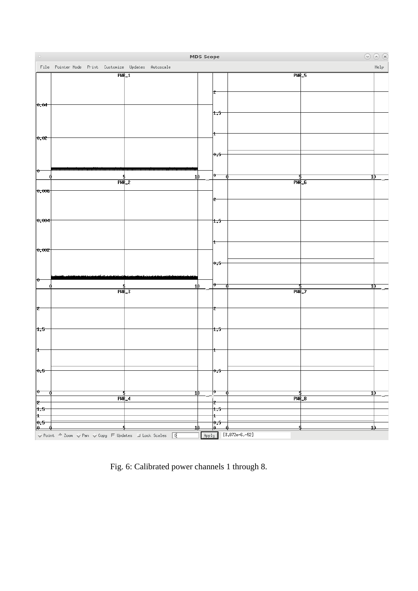

Fig. 6: Calibrated power channels 1 through 8.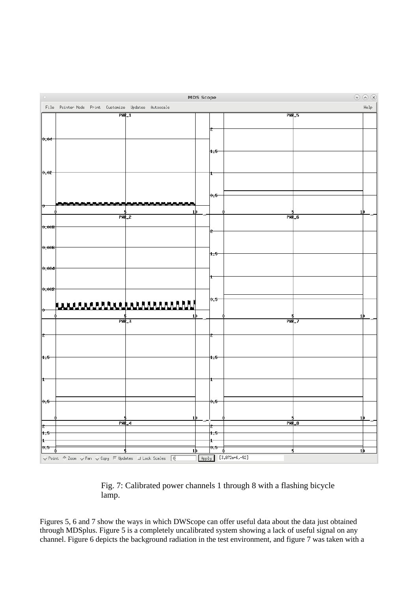

#### Fig. 7: Calibrated power channels 1 through 8 with a flashing bicycle lamp.

Figures 5, 6 and 7 show the ways in which DWScope can offer useful data about the data just obtained through MDSplus. Figure 5 is a completely uncalibrated system showing a lack of useful signal on any channel. Figure 6 depicts the background radiation in the test environment, and figure 7 was taken with a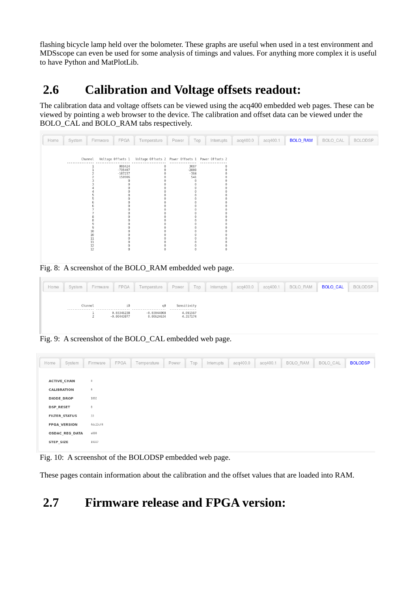flashing bicycle lamp held over the bolometer. These graphs are useful when used in a test environment and MDSscope can even be used for some analysis of timings and values. For anything more complex it is useful to have Python and MatPlotLib.

# **2.6 Calibration and Voltage offsets readout:**

The calibration data and voltage offsets can be viewed using the acq400 embedded web pages. These can be viewed by pointing a web browser to the device. The calibration and offset data can be viewed under the BOLO\_CAL and BOLO\_RAM tabs respectively.

| Home | System    | Firmware        | FPGA                | Temperature                                                                 | Power           | Top      | Interrupts | acq400.0 | acq400.1 | <b>BOLO_RAM</b> | BOLO_CAL | <b>BOLODSP</b> |
|------|-----------|-----------------|---------------------|-----------------------------------------------------------------------------|-----------------|----------|------------|----------|----------|-----------------|----------|----------------|
|      | --------- |                 |                     | Channel Voltage Offsets 1 Voltage Offsets 2 Power Offsets 1 Power Offsets 2 |                 |          |            |          |          |                 |          |                |
|      |           |                 | 808424<br>$-735407$ | 0<br>$\theta$                                                               | 3087<br>$-2808$ |          | $\theta$   |          |          |                 |          |                |
|      |           |                 | $-107237$<br>150906 | $\Theta$                                                                    | $-384$<br>541   | $\Theta$ |            |          |          |                 |          |                |
|      |           |                 |                     |                                                                             |                 | Θ        |            |          |          |                 |          |                |
|      |           |                 |                     |                                                                             |                 |          |            |          |          |                 |          |                |
|      |           |                 |                     |                                                                             |                 |          |            |          |          |                 |          |                |
|      |           |                 |                     |                                                                             |                 |          |            |          |          |                 |          |                |
|      |           | 10<br>10        |                     |                                                                             |                 |          |            |          |          |                 |          |                |
|      |           | $11$<br>$11\,$  |                     |                                                                             |                 |          |            |          |          |                 |          |                |
|      |           | $\frac{12}{12}$ | $\theta$            | $\Theta$                                                                    |                 | $\Theta$ | $\theta$   |          |          |                 |          |                |

Fig. 8: A screenshot of the BOLO\_RAM embedded web page.

| Home | System | Firmware    | FPGA             | Temperature   | Power                        | Top      | Interrupts | acq400.0 | acq400.1 | BOLO_RAM | <b>BOLO CAL</b> | <b>BOLODSP</b> |
|------|--------|-------------|------------------|---------------|------------------------------|----------|------------|----------|----------|----------|-----------------|----------------|
|      |        |             |                  |               |                              |          |            |          |          |          |                 |                |
|      |        | Channel<br> | i0<br>0.03346238 | $-0.03044008$ | Sensitivity<br>.<br>4.091567 |          |            |          |          |          |                 |                |
|      |        |             | $-0.00443877$    | 0.00624634    |                              | 4.357174 |            |          |          |          |                 |                |

Fig. 9: A screenshot of the BOLO\_CAL embedded web page.

| Home | System                                   | Firmware                                | FPGA | Temperature | Power | Top | Interrupts | acq400.0 | acq400.1 | BOLO RAM | BOLO CAL | <b>BOLODSP</b> |
|------|------------------------------------------|-----------------------------------------|------|-------------|-------|-----|------------|----------|----------|----------|----------|----------------|
|      | <b>ACTIVE_CHAN</b><br><b>CALIBRATION</b> | 8<br>$_{\scriptscriptstyle{\theta}}$    |      |             |       |     |            |          |          |          |          |                |
|      | <b>DIODE DROP</b><br><b>DSP RESET</b>    | 1092<br>$_{\scriptscriptstyle{\theta}}$ |      |             |       |     |            |          |          |          |          |                |
|      | <b>FILTER_STATUS</b>                     | 33                                      |      |             |       |     |            |          |          |          |          |                |
|      | <b>FPGA_VERSION</b><br>OSDAC_REG_DATA    | 4dc23cf4<br>a000                        |      |             |       |     |            |          |          |          |          |                |
|      | STEP SIZE                                | 19327                                   |      |             |       |     |            |          |          |          |          |                |

Fig. 10: A screenshot of the BOLODSP embedded web page.

These pages contain information about the calibration and the offset values that are loaded into RAM.

# **2.7 Firmware release and FPGA version:**